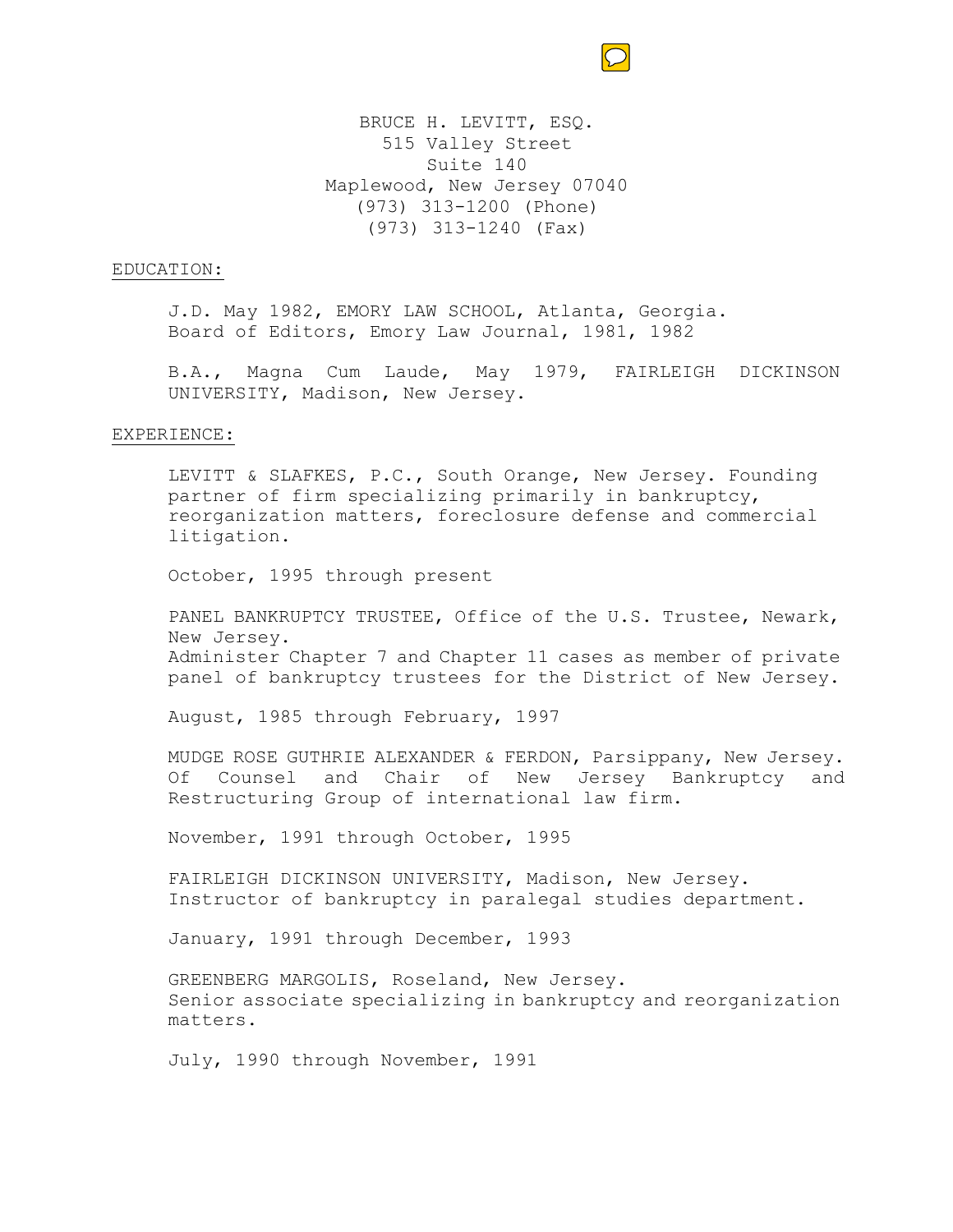

BRUCE H. LEVITT, ESQ. 515 Valley Street Suite 140 Maplewood, New Jersey 07040 (973) 313-1200 (Phone) (973) 313-1240 (Fax)

## EDUCATION:

J.D. May 1982, EMORY LAW SCHOOL, Atlanta, Georgia. Board of Editors, Emory Law Journal, 1981, 1982

B.A., Magna Cum Laude, May 1979, FAIRLEIGH DICKINSON UNIVERSITY, Madison, New Jersey.

## EXPERIENCE:

LEVITT & SLAFKES, P.C., South Orange, New Jersey. Founding partner of firm specializing primarily in bankruptcy, reorganization matters, foreclosure defense and commercial litigation.

October, 1995 through present

PANEL BANKRUPTCY TRUSTEE, Office of the U.S. Trustee, Newark, New Jersey. Administer Chapter 7 and Chapter 11 cases as member of private panel of bankruptcy trustees for the District of New Jersey.

August, 1985 through February, 1997

MUDGE ROSE GUTHRIE ALEXANDER & FERDON, Parsippany, New Jersey. Of Counsel and Chair of New Jersey Bankruptcy and Restructuring Group of international law firm.

November, 1991 through October, 1995

FAIRLEIGH DICKINSON UNIVERSITY, Madison, New Jersey. Instructor of bankruptcy in paralegal studies department.

January, 1991 through December, 1993

GREENBERG MARGOLIS, Roseland, New Jersey. Senior associate specializing in bankruptcy and reorganization matters.

July, 1990 through November, 1991